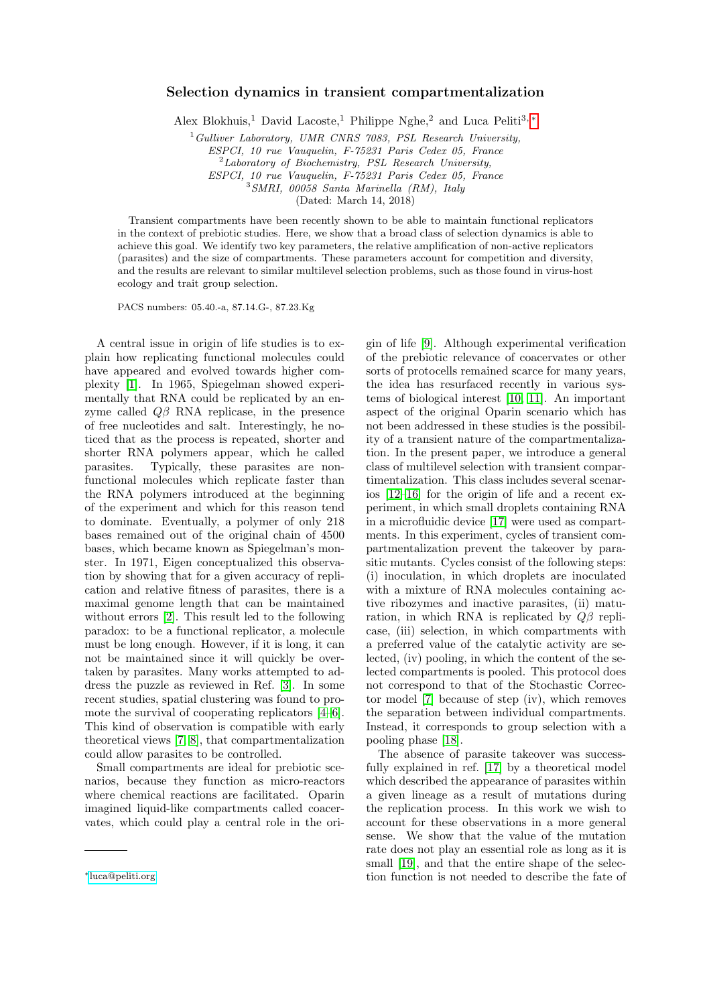## Selection dynamics in transient compartmentalization

Alex Blokhuis,<sup>1</sup> David Lacoste,<sup>1</sup> Philippe Nghe,<sup>2</sup> and Luca Peliti<sup>3, [∗](#page-0-0)</sup>

 $1$  Gulliver Laboratory, UMR CNRS 7083, PSL Research University,

ESPCI, 10 rue Vauquelin, F-75231 Paris Cedex 05, France

<sup>2</sup>Laboratory of Biochemistry, PSL Research University,

ESPCI, 10 rue Vauquelin, F-75231 Paris Cedex 05, France

<sup>3</sup>SMRI, 00058 Santa Marinella (RM), Italy

(Dated: March 14, 2018)

Transient compartments have been recently shown to be able to maintain functional replicators in the context of prebiotic studies. Here, we show that a broad class of selection dynamics is able to achieve this goal. We identify two key parameters, the relative amplification of non-active replicators (parasites) and the size of compartments. These parameters account for competition and diversity, and the results are relevant to similar multilevel selection problems, such as those found in virus-host ecology and trait group selection.

PACS numbers: 05.40.-a, 87.14.G-, 87.23.Kg

A central issue in origin of life studies is to explain how replicating functional molecules could have appeared and evolved towards higher complexity [\[1\]](#page-4-0). In 1965, Spiegelman showed experimentally that RNA could be replicated by an enzyme called  $Q\beta$  RNA replicase, in the presence of free nucleotides and salt. Interestingly, he noticed that as the process is repeated, shorter and shorter RNA polymers appear, which he called parasites. Typically, these parasites are nonfunctional molecules which replicate faster than the RNA polymers introduced at the beginning of the experiment and which for this reason tend to dominate. Eventually, a polymer of only 218 bases remained out of the original chain of 4500 bases, which became known as Spiegelman's monster. In 1971, Eigen conceptualized this observation by showing that for a given accuracy of replication and relative fitness of parasites, there is a maximal genome length that can be maintained without errors [\[2\]](#page-4-1). This result led to the following paradox: to be a functional replicator, a molecule must be long enough. However, if it is long, it can not be maintained since it will quickly be overtaken by parasites. Many works attempted to address the puzzle as reviewed in Ref. [\[3\]](#page-4-2). In some recent studies, spatial clustering was found to promote the survival of cooperating replicators [\[4–](#page-4-3)[6\]](#page-4-4). This kind of observation is compatible with early theoretical views [\[7,](#page-4-5) [8\]](#page-4-6), that compartmentalization could allow parasites to be controlled.

Small compartments are ideal for prebiotic scenarios, because they function as micro-reactors where chemical reactions are facilitated. Oparin imagined liquid-like compartments called coacervates, which could play a central role in the origin of life [\[9\]](#page-4-7). Although experimental verification of the prebiotic relevance of coacervates or other sorts of protocells remained scarce for many years, the idea has resurfaced recently in various systems of biological interest [\[10,](#page-4-8) [11\]](#page-4-9). An important aspect of the original Oparin scenario which has not been addressed in these studies is the possibility of a transient nature of the compartmentalization. In the present paper, we introduce a general class of multilevel selection with transient compartimentalization. This class includes several scenarios [\[12](#page-4-10)[–16\]](#page-4-11) for the origin of life and a recent experiment, in which small droplets containing RNA in a microfluidic device [\[17\]](#page-4-12) were used as compartments. In this experiment, cycles of transient compartmentalization prevent the takeover by parasitic mutants. Cycles consist of the following steps: (i) inoculation, in which droplets are inoculated with a mixture of RNA molecules containing active ribozymes and inactive parasites, (ii) maturation, in which RNA is replicated by  $Q\beta$  replicase, (iii) selection, in which compartments with a preferred value of the catalytic activity are selected, (iv) pooling, in which the content of the selected compartments is pooled. This protocol does not correspond to that of the Stochastic Corrector model [\[7\]](#page-4-5) because of step (iv), which removes the separation between individual compartments. Instead, it corresponds to group selection with a pooling phase [\[18\]](#page-4-13).

The absence of parasite takeover was successfully explained in ref. [\[17\]](#page-4-12) by a theoretical model which described the appearance of parasites within a given lineage as a result of mutations during the replication process. In this work we wish to account for these observations in a more general sense. We show that the value of the mutation rate does not play an essential role as long as it is small [\[19\]](#page-4-14), and that the entire shape of the selection function is not needed to describe the fate of

<span id="page-0-0"></span><sup>∗</sup>[luca@peliti.org](mailto:luca@peliti.org)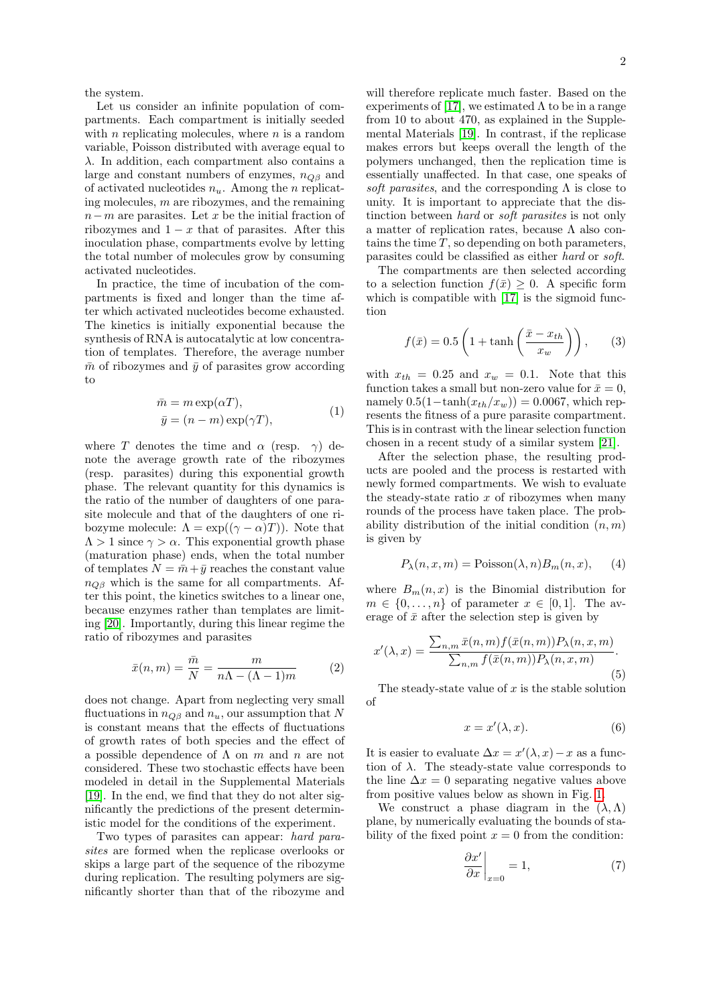the system.

Let us consider an infinite population of compartments. Each compartment is initially seeded with  $n$  replicating molecules, where  $n$  is a random variable, Poisson distributed with average equal to  $\lambda$ . In addition, each compartment also contains a large and constant numbers of enzymes,  $n_{\text{OB}}$  and of activated nucleotides  $n_u$ . Among the *n* replicating molecules, m are ribozymes, and the remaining  $n-m$  are parasites. Let x be the initial fraction of ribozymes and  $1 - x$  that of parasites. After this inoculation phase, compartments evolve by letting the total number of molecules grow by consuming activated nucleotides.

In practice, the time of incubation of the compartments is fixed and longer than the time after which activated nucleotides become exhausted. The kinetics is initially exponential because the synthesis of RNA is autocatalytic at low concentration of templates. Therefore, the average number  $\bar{m}$  of ribozymes and  $\bar{y}$  of parasites grow according to

$$
\begin{aligned}\n\bar{m} &= m \exp(\alpha T), \\
\bar{y} &= (n - m) \exp(\gamma T),\n\end{aligned} \tag{1}
$$

where T denotes the time and  $\alpha$  (resp.  $\gamma$ ) denote the average growth rate of the ribozymes (resp. parasites) during this exponential growth phase. The relevant quantity for this dynamics is the ratio of the number of daughters of one parasite molecule and that of the daughters of one ribozyme molecule:  $\Lambda = \exp((\gamma - \alpha)T)$ . Note that  $\Lambda > 1$  since  $\gamma > \alpha$ . This exponential growth phase (maturation phase) ends, when the total number of templates  $N = \bar{m} + \bar{y}$  reaches the constant value  $n_{OR}$  which is the same for all compartments. After this point, the kinetics switches to a linear one, because enzymes rather than templates are limiting [\[20\]](#page-4-15). Importantly, during this linear regime the ratio of ribozymes and parasites

<span id="page-1-4"></span>
$$
\bar{x}(n,m) = \frac{\bar{m}}{N} = \frac{m}{n\Lambda - (\Lambda - 1)m} \tag{2}
$$

does not change. Apart from neglecting very small fluctuations in  $n_{\text{O}\beta}$  and  $n_u$ , our assumption that N is constant means that the effects of fluctuations of growth rates of both species and the effect of a possible dependence of  $\Lambda$  on  $m$  and  $n$  are not considered. These two stochastic effects have been modeled in detail in the Supplemental Materials [\[19\]](#page-4-14). In the end, we find that they do not alter significantly the predictions of the present deterministic model for the conditions of the experiment.

Two types of parasites can appear: hard parasites are formed when the replicase overlooks or skips a large part of the sequence of the ribozyme during replication. The resulting polymers are significantly shorter than that of the ribozyme and

will therefore replicate much faster. Based on the experiments of [\[17\]](#page-4-12), we estimated  $\Lambda$  to be in a range from 10 to about 470, as explained in the Supplemental Materials [\[19\]](#page-4-14). In contrast, if the replicase makes errors but keeps overall the length of the polymers unchanged, then the replication time is essentially unaffected. In that case, one speaks of soft parasites, and the corresponding  $\Lambda$  is close to unity. It is important to appreciate that the distinction between hard or soft parasites is not only a matter of replication rates, because Λ also contains the time  $T$ , so depending on both parameters, parasites could be classified as either hard or soft.

The compartments are then selected according to a selection function  $f(\bar{x}) \geq 0$ . A specific form which is compatible with [\[17\]](#page-4-12) is the sigmoid function

<span id="page-1-0"></span>
$$
f(\bar{x}) = 0.5 \left( 1 + \tanh\left(\frac{\bar{x} - x_{th}}{x_w}\right) \right), \qquad (3)
$$

with  $x_{th} = 0.25$  and  $x_w = 0.1$ . Note that this function takes a small but non-zero value for  $\bar{x} = 0$ , namely  $0.5(1-\tanh(x_{th}/x_w)) = 0.0067$ , which represents the fitness of a pure parasite compartment. This is in contrast with the linear selection function chosen in a recent study of a similar system [\[21\]](#page-4-16).

After the selection phase, the resulting products are pooled and the process is restarted with newly formed compartments. We wish to evaluate the steady-state ratio  $x$  of ribozymes when many rounds of the process have taken place. The probability distribution of the initial condition  $(n, m)$ is given by

<span id="page-1-1"></span>
$$
P_{\lambda}(n, x, m) = \text{Poisson}(\lambda, n) B_m(n, x), \quad (4)
$$

where  $B_m(n, x)$  is the Binomial distribution for  $m \in \{0, \ldots, n\}$  of parameter  $x \in [0, 1]$ . The average of  $\bar{x}$  after the selection step is given by

<span id="page-1-2"></span>
$$
x'(\lambda, x) = \frac{\sum_{n,m} \bar{x}(n,m) f(\bar{x}(n,m)) P_{\lambda}(n,x,m)}{\sum_{n,m} f(\bar{x}(n,m)) P_{\lambda}(n,x,m)}.
$$
\n(5)

The steady-state value of  $x$  is the stable solution of

$$
x = x'(\lambda, x). \tag{6}
$$

It is easier to evaluate  $\Delta x = x'(\lambda, x) - x$  as a function of  $\lambda$ . The steady-state value corresponds to the line  $\Delta x = 0$  separating negative values above from positive values below as shown in Fig. [1.](#page-2-0)

We construct a phase diagram in the  $(\lambda, \Lambda)$ plane, by numerically evaluating the bounds of stability of the fixed point  $x = 0$  from the condition:

<span id="page-1-3"></span>
$$
\left. \frac{\partial x'}{\partial x} \right|_{x=0} = 1,\tag{7}
$$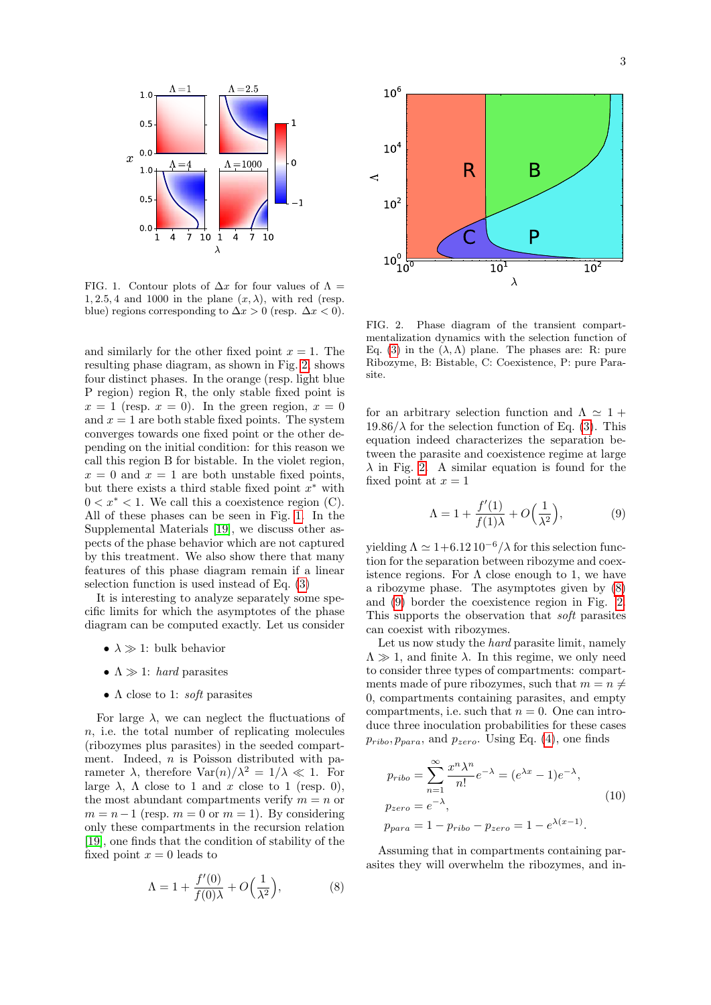

<span id="page-2-0"></span>FIG. 1. Contour plots of  $\Delta x$  for four values of  $\Lambda =$ 1, 2.5, 4 and 1000 in the plane  $(x, \lambda)$ , with red (resp. blue) regions corresponding to  $\Delta x > 0$  (resp.  $\Delta x < 0$ ).

and similarly for the other fixed point  $x = 1$ . The resulting phase diagram, as shown in Fig. [2,](#page-2-1) shows four distinct phases. In the orange (resp. light blue P region) region R, the only stable fixed point is  $x = 1$  (resp.  $x = 0$ ). In the green region,  $x = 0$ and  $x = 1$  are both stable fixed points. The system converges towards one fixed point or the other depending on the initial condition: for this reason we call this region B for bistable. In the violet region,  $x = 0$  and  $x = 1$  are both unstable fixed points, but there exists a third stable fixed point  $x^*$  with  $0 < x^* < 1$ . We call this a coexistence region (C). All of these phases can be seen in Fig. [1.](#page-2-0) In the Supplemental Materials [\[19\]](#page-4-14), we discuss other aspects of the phase behavior which are not captured by this treatment. We also show there that many features of this phase diagram remain if a linear selection function is used instead of Eq. [\(3\)](#page-1-0)

It is interesting to analyze separately some specific limits for which the asymptotes of the phase diagram can be computed exactly. Let us consider

- $\lambda \gg 1$ : bulk behavior
- $\Lambda \gg 1$ : *hard* parasites
- $\Lambda$  close to 1: *soft* parasites

For large  $\lambda$ , we can neglect the fluctuations of n, i.e. the total number of replicating molecules (ribozymes plus parasites) in the seeded compartment. Indeed,  $n$  is Poisson distributed with parameter  $\lambda$ , therefore  $\text{Var}(n)/\lambda^2 = 1/\lambda \ll 1$ . For large  $\lambda$ ,  $\Lambda$  close to 1 and x close to 1 (resp. 0), the most abundant compartments verify  $m = n$  or  $m = n - 1$  (resp.  $m = 0$  or  $m = 1$ ). By considering only these compartments in the recursion relation [\[19\]](#page-4-14), one finds that the condition of stability of the fixed point  $x = 0$  leads to

<span id="page-2-2"></span>
$$
\Lambda = 1 + \frac{f'(0)}{f(0)\lambda} + O\left(\frac{1}{\lambda^2}\right),\tag{8}
$$



<span id="page-2-1"></span>FIG. 2. Phase diagram of the transient compartmentalization dynamics with the selection function of Eq. [\(3\)](#page-1-0) in the  $(\lambda, \Lambda)$  plane. The phases are: R: pure Ribozyme, B: Bistable, C: Coexistence, P: pure Parasite.

for an arbitrary selection function and  $\Lambda \simeq 1 +$  $19.86/\lambda$  for the selection function of Eq. [\(3\)](#page-1-0). This equation indeed characterizes the separation between the parasite and coexistence regime at large  $\lambda$  in Fig. [2.](#page-2-1) A similar equation is found for the fixed point at  $x = 1$ 

<span id="page-2-3"></span>
$$
\Lambda = 1 + \frac{f'(1)}{f(1)\lambda} + O\left(\frac{1}{\lambda^2}\right),\tag{9}
$$

yielding  $\Lambda \simeq 1+6.12 \, 10^{-6}/\lambda$  for this selection function for the separation between ribozyme and coexistence regions. For  $\Lambda$  close enough to 1, we have a ribozyme phase. The asymptotes given by [\(8\)](#page-2-2) and [\(9\)](#page-2-3) border the coexistence region in Fig. [2.](#page-2-1) This supports the observation that soft parasites can coexist with ribozymes.

Let us now study the *hard* parasite limit, namely  $\Lambda \gg 1$ , and finite  $\lambda$ . In this regime, we only need to consider three types of compartments: compartments made of pure ribozymes, such that  $m = n \neq$ 0, compartments containing parasites, and empty compartments, i.e. such that  $n = 0$ . One can introduce three inoculation probabilities for these cases  $p_{ribo}, p_{para},$  and  $p_{zero}$ . Using Eq. [\(4\)](#page-1-1), one finds

$$
p_{ribo} = \sum_{n=1}^{\infty} \frac{x^n \lambda^n}{n!} e^{-\lambda} = (e^{\lambda x} - 1) e^{-\lambda},
$$
  
\n
$$
p_{zero} = e^{-\lambda},
$$
  
\n
$$
p_{para} = 1 - p_{ribo} - p_{zero} = 1 - e^{\lambda(x-1)}.
$$
\n(10)

Assuming that in compartments containing parasites they will overwhelm the ribozymes, and in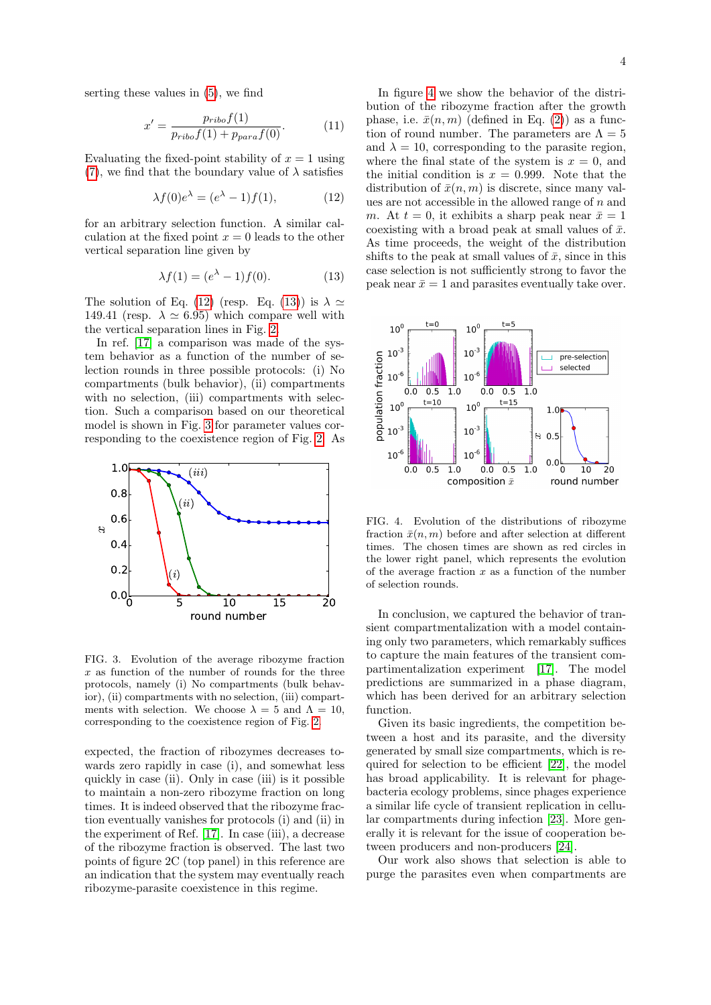serting these values in [\(5\)](#page-1-2), we find

$$
x' = \frac{p_{ribo}f(1)}{p_{ribo}f(1) + p_{para}f(0)}.
$$
 (11)

Evaluating the fixed-point stability of  $x = 1$  using [\(7\)](#page-1-3), we find that the boundary value of  $\lambda$  satisfies

<span id="page-3-0"></span>
$$
\lambda f(0)e^{\lambda} = (e^{\lambda} - 1)f(1), \qquad (12)
$$

for an arbitrary selection function. A similar calculation at the fixed point  $x = 0$  leads to the other vertical separation line given by

<span id="page-3-1"></span>
$$
\lambda f(1) = (e^{\lambda} - 1)f(0). \tag{13}
$$

The solution of Eq. [\(12\)](#page-3-0) (resp. Eq. [\(13\)](#page-3-1)) is  $\lambda \simeq$ 149.41 (resp.  $\lambda \simeq 6.95$ ) which compare well with the vertical separation lines in Fig. [2.](#page-2-1)

In ref. [\[17\]](#page-4-12) a comparison was made of the system behavior as a function of the number of selection rounds in three possible protocols: (i) No compartments (bulk behavior), (ii) compartments with no selection, (iii) compartments with selection. Such a comparison based on our theoretical model is shown in Fig. [3](#page-3-2) for parameter values corresponding to the coexistence region of Fig. [2.](#page-2-1) As



<span id="page-3-2"></span>FIG. 3. Evolution of the average ribozyme fraction  $x$  as function of the number of rounds for the three protocols, namely (i) No compartments (bulk behavior), (ii) compartments with no selection, (iii) compartments with selection. We choose  $\lambda = 5$  and  $\Lambda = 10$ , corresponding to the coexistence region of Fig. [2.](#page-2-1)

expected, the fraction of ribozymes decreases towards zero rapidly in case (i), and somewhat less quickly in case (ii). Only in case (iii) is it possible to maintain a non-zero ribozyme fraction on long times. It is indeed observed that the ribozyme fraction eventually vanishes for protocols (i) and (ii) in the experiment of Ref. [\[17\]](#page-4-12). In case (iii), a decrease of the ribozyme fraction is observed. The last two points of figure 2C (top panel) in this reference are an indication that the system may eventually reach ribozyme-parasite coexistence in this regime.

In figure [4](#page-3-3) we show the behavior of the distribution of the ribozyme fraction after the growth phase, i.e.  $\bar{x}(n, m)$  (defined in Eq. [\(2\)](#page-1-4)) as a function of round number. The parameters are  $\Lambda = 5$ and  $\lambda = 10$ , corresponding to the parasite region, where the final state of the system is  $x = 0$ , and the initial condition is  $x = 0.999$ . Note that the distribution of  $\bar{x}(n, m)$  is discrete, since many values are not accessible in the allowed range of  $n$  and m. At  $t = 0$ , it exhibits a sharp peak near  $\bar{x} = 1$ coexisting with a broad peak at small values of  $\bar{x}$ . As time proceeds, the weight of the distribution shifts to the peak at small values of  $\bar{x}$ , since in this case selection is not sufficiently strong to favor the peak near  $\bar{x} = 1$  and parasites eventually take over.



<span id="page-3-3"></span>FIG. 4. Evolution of the distributions of ribozyme fraction  $\bar{x}(n, m)$  before and after selection at different times. The chosen times are shown as red circles in the lower right panel, which represents the evolution of the average fraction  $x$  as a function of the number of selection rounds.

In conclusion, we captured the behavior of transient compartmentalization with a model containing only two parameters, which remarkably suffices to capture the main features of the transient compartimentalization experiment [\[17\]](#page-4-12). The model predictions are summarized in a phase diagram, which has been derived for an arbitrary selection function.

Given its basic ingredients, the competition between a host and its parasite, and the diversity generated by small size compartments, which is required for selection to be efficient [\[22\]](#page-4-17), the model has broad applicability. It is relevant for phagebacteria ecology problems, since phages experience a similar life cycle of transient replication in cellular compartments during infection [\[23\]](#page-4-18). More generally it is relevant for the issue of cooperation between producers and non-producers [\[24\]](#page-4-19).

Our work also shows that selection is able to purge the parasites even when compartments are